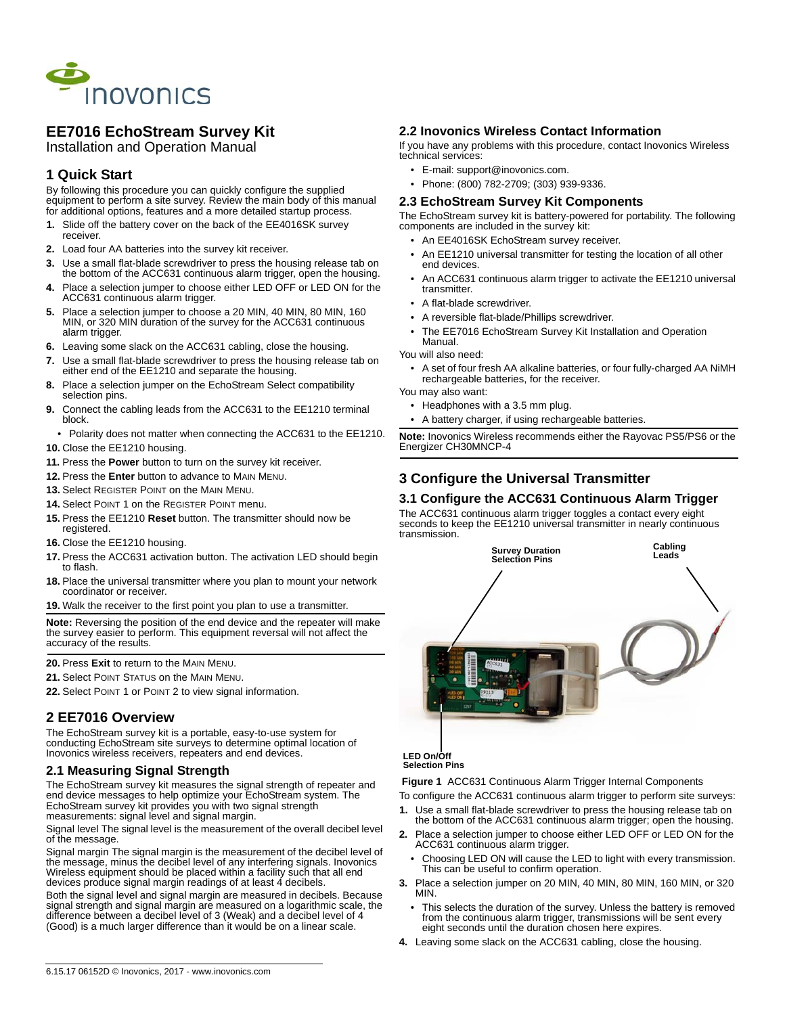

# **EE7016 EchoStream Survey Kit**

Installation and Operation Manual

### **1 Quick Start**

By following this procedure you can quickly configure the supplied equipment to perform a site survey. Review the main body of this manual for additional options, features and a more detailed startup process.

- **1.** Slide off the battery cover on the back of the EE4016SK survey receiver.
- **2.** Load four AA batteries into the survey kit receiver.
- **3.** Use a small flat-blade screwdriver to press the housing release tab on the bottom of the ACC631 continuous alarm trigger, open the housing.
- **4.** Place a selection jumper to choose either LED OFF or LED ON for the ACC631 continuous alarm trigger.
- **5.** Place a selection jumper to choose a 20 MIN, 40 MIN, 80 MIN, 160 MIN, or 320 MIN duration of the survey for the ACC631 continuous alarm trigger.
- **6.** Leaving some slack on the ACC631 cabling, close the housing.
- **7.** Use a small flat-blade screwdriver to press the housing release tab on either end of the EE1210 and separate the housing.
- **8.** Place a selection jumper on the EchoStream Select compatibility selection pins.
- **9.** Connect the cabling leads from the ACC631 to the EE1210 terminal block.
- Polarity does not matter when connecting the ACC631 to the EE1210.
- **10.** Close the EE1210 housing.
- **11.** Press the **Power** button to turn on the survey kit receiver.
- **12.** Press the **Enter** button to advance to MAIN MENU.
- **13.** Select REGISTER POINT on the MAIN MENU.
- **14.** Select POINT 1 on the REGISTER POINT menu.
- **15.** Press the EE1210 **Reset** button. The transmitter should now be registered.
- **16.** Close the EE1210 housing.
- **17.** Press the ACC631 activation button. The activation LED should begin to flash.
- **18.** Place the universal transmitter where you plan to mount your network coordinator or receiver.
- **19.** Walk the receiver to the first point you plan to use a transmitter.

**Note:** Reversing the position of the end device and the repeater will make the survey easier to perform. This equipment reversal will not affect the accuracy of the results.

**20.** Press **Exit** to return to the MAIN MENU.

**21.** Select POINT STATUS on the MAIN MENU.

**22.** Select POINT 1 or POINT 2 to view signal information.

#### **2 EE7016 Overview**

The EchoStream survey kit is a portable, easy-to-use system for conducting EchoStream site surveys to determine optimal location of Inovonics wireless receivers, repeaters and end devices.

#### **2.1 Measuring Signal Strength**

The EchoStream survey kit measures the signal strength of repeater and end device messages to help optimize your EchoStream system. The EchoStream survey kit provides you with two signal strength measurements: signal level and signal margin.

Signal level The signal level is the measurement of the overall decibel level of the message.

Signal margin The signal margin is the measurement of the decibel level of the message, minus the decibel level of any interfering signals. Inovonics Wireless equipment should be placed within a facility such that all end devices produce signal margin readings of at least 4 decibels.

Both the signal level and signal margin are measured in decibels. Because signal strength and signal margin are measured on a logarithmic scale, the difference between a decibel level of 3 (Weak) and a decibel level of 4 (Good) is a much larger difference than it would be on a linear scale.

#### **2.2 Inovonics Wireless Contact Information**

If you have any problems with this procedure, contact Inovonics Wireless technical services:

- E-mail: support@inovonics.com.
- Phone: (800) 782-2709; (303) 939-9336.

#### **2.3 EchoStream Survey Kit Components**

The EchoStream survey kit is battery-powered for portability. The following components are included in the survey kit:

- An EE4016SK EchoStream survey receiver.
- An EE1210 universal transmitter for testing the location of all other end devices.
- An ACC631 continuous alarm trigger to activate the EE1210 universal transmitter.
- A flat-blade screwdriver.
- A reversible flat-blade/Phillips screwdriver.
- The EE7016 EchoStream Survey Kit Installation and Operation Manual.
- You will also need:
- A set of four fresh AA alkaline batteries, or four fully-charged AA NiMH rechargeable batteries, for the receiver.

You may also want:

- Headphones with a 3.5 mm plug.
- A battery charger, if using rechargeable batteries.

**Note:** Inovonics Wireless recommends either the Rayovac PS5/PS6 or the Energizer CH30MNCP-4

# **3 Configure the Universal Transmitter**

#### **3.1 Configure the ACC631 Continuous Alarm Trigger**

The ACC631 continuous alarm trigger toggles a contact every eight seconds to keep the EE1210 universal transmitter in nearly continuous transmission.



#### **LED On/Off Selection Pins**

 **Figure 1** ACC631 Continuous Alarm Trigger Internal Components

- To configure the ACC631 continuous alarm trigger to perform site surveys: **1.** Use a small flat-blade screwdriver to press the housing release tab on
- the bottom of the ACC631 continuous alarm trigger; open the housing. **2.** Place a selection jumper to choose either LED OFF or LED ON for the ACC631 continuous alarm trigger.
	- Choosing LED ON will cause the LED to light with every transmission. This can be useful to confirm operation.
- **3.** Place a selection jumper on 20 MIN, 40 MIN, 80 MIN, 160 MIN, or 320 MIN.
	- This selects the duration of the survey. Unless the battery is removed from the continuous alarm trigger, transmissions will be sent every eight seconds until the duration chosen here expires.
- **4.** Leaving some slack on the ACC631 cabling, close the housing.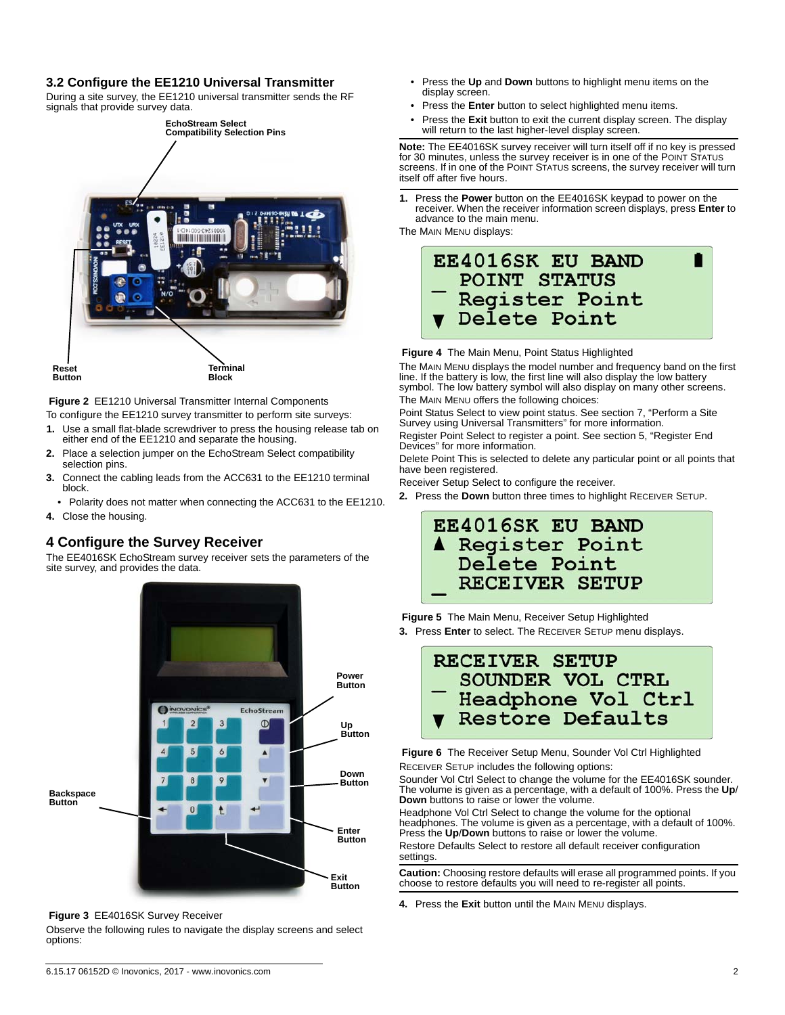### **3.2 Configure the EE1210 Universal Transmitter**

During a site survey, the EE1210 universal transmitter sends the RF signals that provide survey data.



 **Figure 2** EE1210 Universal Transmitter Internal Components

- To configure the EE1210 survey transmitter to perform site surveys:
- **1.** Use a small flat-blade screwdriver to press the housing release tab on either end of the EE1210 and separate the housing.
- **2.** Place a selection jumper on the EchoStream Select compatibility selection pins.
- **3.** Connect the cabling leads from the ACC631 to the EE1210 terminal block.
- Polarity does not matter when connecting the ACC631 to the EE1210.

#### **4.** Close the housing.

## **4 Configure the Survey Receiver**

The EE4016SK EchoStream survey receiver sets the parameters of the site survey, and provides the data.



 **Figure 3** EE4016SK Survey Receiver

Observe the following rules to navigate the display screens and select options:

- Press the **Up** and **Down** buttons to highlight menu items on the display screen.
- Press the **Enter** button to select highlighted menu items.
- Press the **Exit** button to exit the current display screen. The display will return to the last higher-level display screen.

**Note:** The EE4016SK survey receiver will turn itself off if no key is pressed for 30 minutes, unless the survey receiver is in one of the POINT STATUS screens. If in one of the POINT STATUS screens, the survey receiver will turn itself off after five hours.

**1.** Press the **Power** button on the EE4016SK keypad to power on the receiver. When the receiver information screen displays, press **Enter** to advance to the main menu.

The MAIN MENU displays:



 **Figure 4** The Main Menu, Point Status Highlighted

The MAIN MENU displays the model number and frequency band on the first line. If the battery is low, the first line will also display the low battery symbol. The low battery symbol will also display on many other screens. The MAIN MENU offers the following choices:

Point Status Select to view point status. See section 7, "Perform a Site Survey using Universal Transmitters" for more information. Register Point Select to register a point. See section 5, "Register End

Devices" for more information.

Delete Point This is selected to delete any particular point or all points that have been registered.

Receiver Setup Select to configure the receiver.

**2.** Press the **Down** button three times to highlight RECEIVER SETUP.

# **EE4016SK EU BAND** A Register Point Delete Point RECEIVER SETUP

 **Figure 5** The Main Menu, Receiver Setup Highlighted **3.** Press **Enter** to select. The RECEIVER SETUP menu displays.



 **Figure 6** The Receiver Setup Menu, Sounder Vol Ctrl Highlighted

RECEIVER SETUP includes the following options:

Sounder Vol Ctrl Select to change the volume for the EE4016SK sounder. The volume is given as a percentage, with a default of 100%. Press the **Up**/ **Down** buttons to raise or lower the volume.

Headphone Vol Ctrl Select to change the volume for the optional headphones. The volume is given as a percentage, with a default of 100%. Press the **Up**/**Down** buttons to raise or lower the volume. Restore Defaults Select to restore all default receiver configuration settings.

**Caution:** Choosing restore defaults will erase all programmed points. If you choose to restore defaults you will need to re-register all points.

**4.** Press the **Exit** button until the MAIN MENU displays.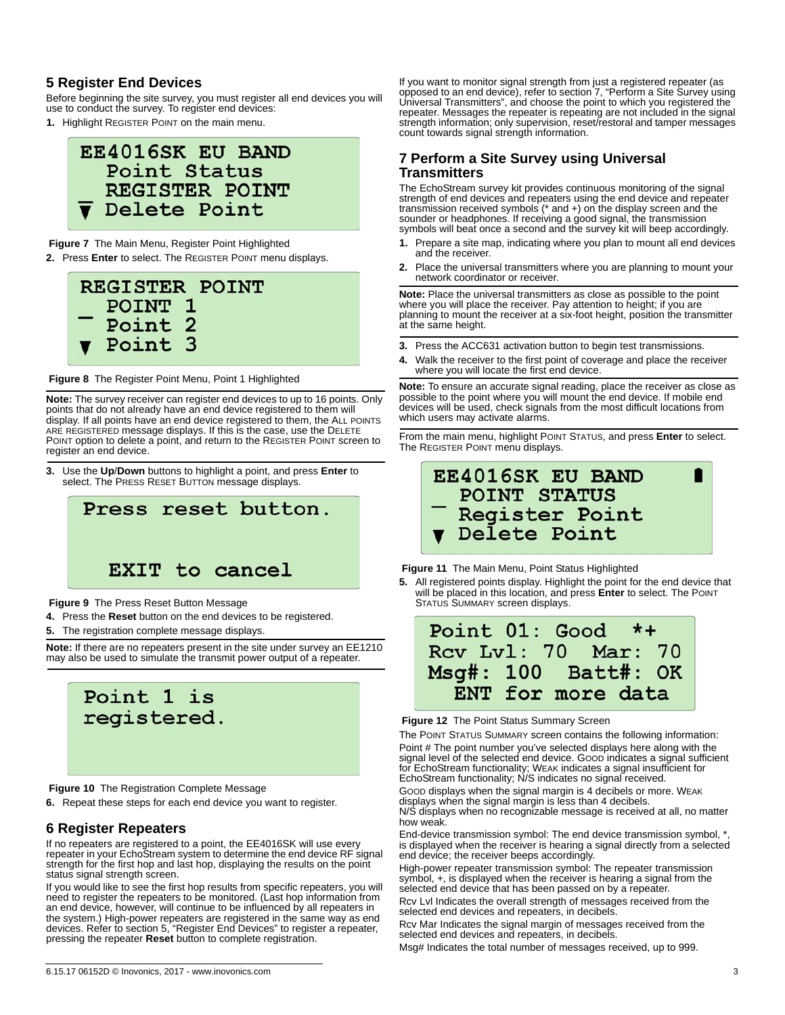### **5 Register End Devices**

Before beginning the site survey, you must register all end devices you will use to conduct the survey. To register end devices:

**1.** Highlight REGISTER POINT on the main menu.



#### **Figure 7** The Main Menu, Register Point Highlighted

**2.** Press **Enter** to select. The REGISTER POINT menu displays.



 **Figure 8** The Register Point Menu, Point 1 Highlighted

**Note:** The survey receiver can register end devices to up to 16 points. Only points that do not already have an end device registered to them will display. If all points have an end device registered to them, the ALL POINTS ARE REGISTERED message displays. If this is the case, use the DELETE POINT option to delete a point, and return to the REGISTER POINT screen to register an end device.

**3.** Use the **Up**/**Down** buttons to highlight a point, and press **Enter** to select. The PRESS RESET BUTTON message displays.



 **Figure 9** The Press Reset Button Message

**4.** Press the **Reset** button on the end devices to be registered.

**5.** The registration complete message displays.

**Note:** If there are no repeaters present in the site under survey an EE1210 may also be used to simulate the transmit power output of a repeater.



 **Figure 10** The Registration Complete Message

**6.** Repeat these steps for each end device you want to register.

#### **6 Register Repeaters**

If no repeaters are registered to a point, the EE4016SK will use every repeater in your EchoStream system to determine the end device RF signal strength for the first hop and last hop, displaying the results on the point status signal strength screen.

If you would like to see the first hop results from specific repeaters, you will need to register the repeaters to be monitored. (Last hop information from an end device, however, will continue to be influenced by all repeaters in the system.) High-power repeaters are registered in the same way as end devices. Refer to section 5, "Register End Devices" to register a repeater, pressing the repeater **Reset** button to complete registration.

If you want to monitor signal strength from just a registered repeater (as opposed to an end device), refer to section 7, "Perform a Site Survey using Universal Transmitters", and choose the point to which you registered the repeater. Messages the repeater is repeating are not included in the signal strength information; only supervision, reset/restoral and tamper messages count towards signal strength information.

## **7 Perform a Site Survey using Universal Transmitters**

The EchoStream survey kit provides continuous monitoring of the signal strength of end devices and repeaters using the end device and repeater transmission received symbols (\* and +) on the display screen and the sounder or headphones. If receiving a good signal, the transmission symbols will beat once a second and the survey kit will beep accordingly.

- **1.** Prepare a site map, indicating where you plan to mount all end devices and the receiver.
- **2.** Place the universal transmitters where you are planning to mount your network coordinator or receiver.

**Note:** Place the universal transmitters as close as possible to the point where you will place the receiver. Pay attention to height; if you are planning to mount the receiver at a six-foot height, position the transmitter at the same height.

- **3.** Press the ACC631 activation button to begin test transmissions.
- **4.** Walk the receiver to the first point of coverage and place the receiver where you will locate the first end device.

**Note:** To ensure an accurate signal reading, place the receiver as close as possible to the point where you will mount the end device. If mobile end devices will be used, check signals from the most difficult locations from which users may activate alarms.

From the main menu, highlight POINT STATUS, and press **Enter** to select. The REGISTER POINT menu displays.



#### **Figure 11** The Main Menu, Point Status Highlighted

**5.** All registered points display. Highlight the point for the end device that will be placed in this location, and press **Enter** to select. The POINT STATUS SUMMARY screen displays.



#### **Figure 12** The Point Status Summary Screen

The POINT STATUS SUMMARY screen contains the following information: Point # The point number you've selected displays here along with the signal level of the selected end device. GOOD indicates a signal sufficient for EchoStream functionality; WEAK indicates a signal insufficient for EchoStream functionality; N/S indicates no signal received.

GOOD displays when the signal margin is 4 decibels or more. WEAK displays when the signal margin is less than 4 decibels. N/S displays when no recognizable message is received at all, no matter how weak.

End-device transmission symbol: The end device transmission symbol, \* is displayed when the receiver is hearing a signal directly from a selected end device; the receiver beeps accordingly.

High-power repeater transmission symbol: The repeater transmission symbol, +, is displayed when the receiver is hearing a signal from the selected end device that has been passed on by a repeater.

Rcv Lvl Indicates the overall strength of messages received from the selected end devices and repeaters, in decibels.

Rcv Mar Indicates the signal margin of messages received from the selected end devices and repeaters, in decibels.

Msg# Indicates the total number of messages received, up to 999.